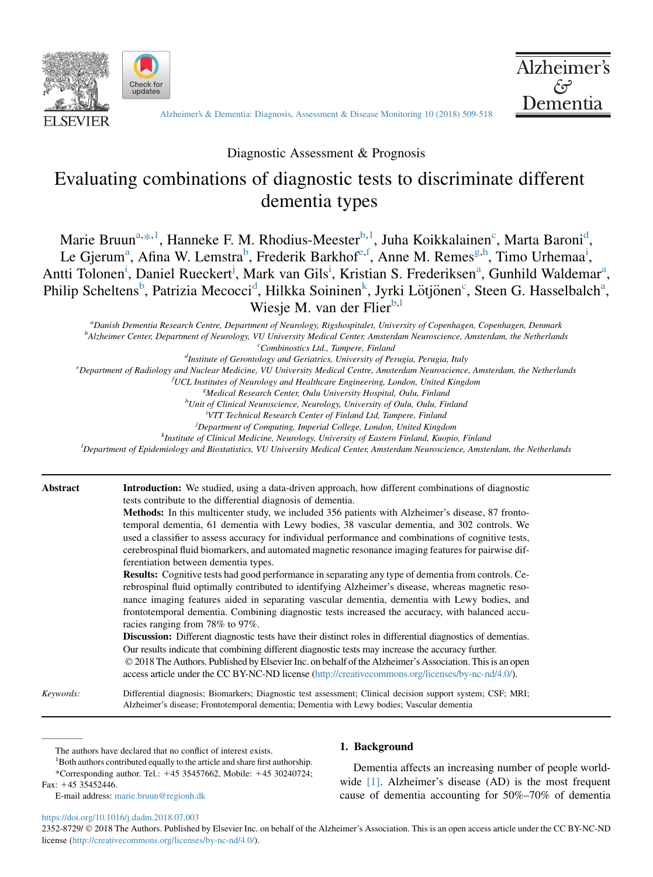





[Alzheimer's & Dementia: Diagnosis, Assessment & Disease Monitoring 10 \(2018\) 509-518](https://doi.org/10.1016/j.dadm.2018.07.003)

## Diagnostic Assessment & Prognosis

# Evaluating combinations of diagnostic tests to discriminate different dementia types

Marie Bruun<sup>a,\*,1</sup>, Hanneke F. M. Rhodius-Meester<sup>b,1</sup>, Juha Koikkalainen<sup>c</sup>, Marta Baroni<sup>d</sup>, Le Gjerum<sup>a</sup>, Afina W. Lemstra<sup>b</sup>, Frederik Barkhof<sup>e, f</sup>, Anne M. Remes<sup>g, h</sup>, Timo Urhemaa<sup>i</sup>, Antti Tolonen<sup>i</sup>, Daniel Rueckert<sup>j</sup>, Mark van Gils<sup>i</sup>, Kristian S. Frederiksen<sup>a</sup>, Gunhild Waldemar<sup>a</sup>, Philip Scheltens<sup>b</sup>, Patrizia Mecocci<sup>d</sup>, Hilkka Soininen<sup>k</sup>, Jyrki Lötjönen<sup>c</sup>, Steen G. Hasselbalch<sup>a</sup>, Wiesje M. van der Flier<sup>b,1</sup>

<sup>a</sup> Danish Dementia Research Centre, Department of Neurology, Rigshospitalet, University of Copenhagen, Copenhagen, Denmark<br><sup>b</sup>Alzheimar Center, Department of Neurology, VII University Medical Center, Amsterdam Neuroscienc <sup>b</sup>Alzheimer Center, Department of Neurology, VU University Medical Center, Amsterdam Neuroscience, Amsterdam, the Netherlands

 ${}^c$ Combinostics Ltd., Tampere, Finland

Institute of Gerontology and Geriatrics, University of Perugia, Perugia, Italy<br>Perastment of Padielesy and Nuclear Medicine, VII University Medical Centre, Ameterdam Neurosciance

<sup>e</sup> Department of Radiology and Nuclear Medicine, VU University Medical Centre, Amsterdam Neuroscience, Amsterdam, the Netherlands

fUCL Institutes of Neurology and Healthcare Engineering, London, United Kingdom<br>SMedical Pesearch Center Qulu University Hespital, Qulu, Finland

Medical Research Center, Oulu University Hospital, Oulu, Finland

h Unit of Clinical Neuroscience, Neurology, University of Oulu, Oulu, Finland<br>iVTT Technical Besearch Center of Finland Itd. Tannera, Finland

VTT Technical Research Center of Finland Ltd, Tampere, Finland

<sup>j</sup> Department of Computing, Imperial College, London, United Kingdom

<sup>k</sup>Institute of Clinical Medicine, Neurology, University of Eastern Finland, Kuopio, Finland<br>Department of Epidemiology and Piectatities, VII University Medical Center Ameterian Neuroscience, Ameter

<sup>1</sup>Department of Epidemiology and Biostatistics, VU University Medical Center, Amsterdam Neuroscience, Amsterdam, the Netherlands

Abstract Introduction: We studied, using a data-driven approach, how different combinations of diagnostic tests contribute to the differential diagnosis of dementia.

> Methods: In this multicenter study, we included 356 patients with Alzheimer's disease, 87 frontotemporal dementia, 61 dementia with Lewy bodies, 38 vascular dementia, and 302 controls. We used a classifier to assess accuracy for individual performance and combinations of cognitive tests, cerebrospinal fluid biomarkers, and automated magnetic resonance imaging features for pairwise differentiation between dementia types.

> Results: Cognitive tests had good performance in separating any type of dementia from controls. Cerebrospinal fluid optimally contributed to identifying Alzheimer's disease, whereas magnetic resonance imaging features aided in separating vascular dementia, dementia with Lewy bodies, and frontotemporal dementia. Combining diagnostic tests increased the accuracy, with balanced accuracies ranging from 78% to 97%.

> Discussion: Different diagnostic tests have their distinct roles in differential diagnostics of dementias. Our results indicate that combining different diagnostic tests may increase the accuracy further. 2018 The Authors. Published by Elsevier Inc. on behalf of the Alzheimer's Association. This is an open access article under the CC BY-NC-ND license [\(http://creativecommons.org/licenses/by-nc-nd/4.0/\)](http://creativecommons.org/licenses/by-nc-nd/4.0/).

Keywords: Differential diagnosis; Biomarkers; Diagnostic test assessment; Clinical decision support system; CSF; MRI; Alzheimer's disease; Frontotemporal dementia; Dementia with Lewy bodies; Vascular dementia

The authors have declared that no conflict of interest exists.

## 1. Background

<sup>1</sup>Both authors contributed equally to the article and share first authorship. \*Corresponding author. Tel.: 145 35457662, Mobile: 145 30240724; Fax: +45 35452446.

E-mail address: [marie.bruun@regionh.dk](mailto:marie.bruun@regionh.dk)

Dementia affects an increasing number of people world-wide [\[1\]](#page-8-0). Alzheimer's disease (AD) is the most frequent cause of dementia accounting for 50%–70% of dementia

<https://doi.org/10.1016/j.dadm.2018.07.003>

2352-8729/  $\odot$  2018 The Authors. Published by Elsevier Inc. on behalf of the Alzheimer's Association. This is an open access article under the CC BY-NC-ND license ([http://creativecommons.org/licenses/by-nc-nd/4.0/\)](http://creativecommons.org/licenses/by-nc-nd/4.0/).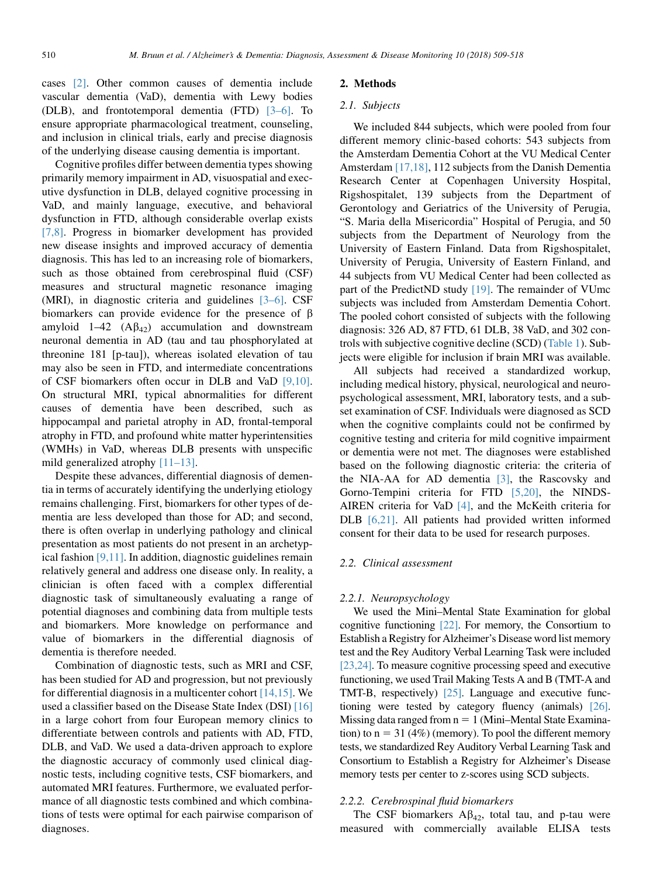cases [\[2\]](#page-8-0). Other common causes of dementia include vascular dementia (VaD), dementia with Lewy bodies (DLB), and frontotemporal dementia (FTD) [\[3–6\].](#page-8-0) To ensure appropriate pharmacological treatment, counseling, and inclusion in clinical trials, early and precise diagnosis of the underlying disease causing dementia is important.

Cognitive profiles differ between dementia types showing primarily memory impairment in AD, visuospatial and executive dysfunction in DLB, delayed cognitive processing in VaD, and mainly language, executive, and behavioral dysfunction in FTD, although considerable overlap exists [\[7,8\]](#page-8-0). Progress in biomarker development has provided new disease insights and improved accuracy of dementia diagnosis. This has led to an increasing role of biomarkers, such as those obtained from cerebrospinal fluid (CSF) measures and structural magnetic resonance imaging (MRI), in diagnostic criteria and guidelines [\[3–6\].](#page-8-0) CSF biomarkers can provide evidence for the presence of  $\beta$ amyloid 1–42  $(A\beta_{42})$  accumulation and downstream neuronal dementia in AD (tau and tau phosphorylated at threonine 181 [p-tau]), whereas isolated elevation of tau may also be seen in FTD, and intermediate concentrations of CSF biomarkers often occur in DLB and VaD [\[9,10\].](#page-8-0) On structural MRI, typical abnormalities for different causes of dementia have been described, such as hippocampal and parietal atrophy in AD, frontal-temporal atrophy in FTD, and profound white matter hyperintensities (WMHs) in VaD, whereas DLB presents with unspecific mild generalized atrophy [\[11–13\]](#page-8-0).

Despite these advances, differential diagnosis of dementia in terms of accurately identifying the underlying etiology remains challenging. First, biomarkers for other types of dementia are less developed than those for AD; and second, there is often overlap in underlying pathology and clinical presentation as most patients do not present in an archetypical fashion [\[9,11\]](#page-8-0). In addition, diagnostic guidelines remain relatively general and address one disease only. In reality, a clinician is often faced with a complex differential diagnostic task of simultaneously evaluating a range of potential diagnoses and combining data from multiple tests and biomarkers. More knowledge on performance and value of biomarkers in the differential diagnosis of dementia is therefore needed.

Combination of diagnostic tests, such as MRI and CSF, has been studied for AD and progression, but not previously for differential diagnosis in a multicenter cohort  $[14,15]$ . We used a classifier based on the Disease State Index (DSI) [\[16\]](#page-8-0) in a large cohort from four European memory clinics to differentiate between controls and patients with AD, FTD, DLB, and VaD. We used a data-driven approach to explore the diagnostic accuracy of commonly used clinical diagnostic tests, including cognitive tests, CSF biomarkers, and automated MRI features. Furthermore, we evaluated performance of all diagnostic tests combined and which combinations of tests were optimal for each pairwise comparison of diagnoses.

#### 2. Methods

#### 2.1. Subjects

We included 844 subjects, which were pooled from four different memory clinic-based cohorts: 543 subjects from the Amsterdam Dementia Cohort at the VU Medical Center Amsterdam [\[17,18\],](#page-8-0) 112 subjects from the Danish Dementia Research Center at Copenhagen University Hospital, Rigshospitalet, 139 subjects from the Department of Gerontology and Geriatrics of the University of Perugia, "S. Maria della Misericordia" Hospital of Perugia, and 50 subjects from the Department of Neurology from the University of Eastern Finland. Data from Rigshospitalet, University of Perugia, University of Eastern Finland, and 44 subjects from VU Medical Center had been collected as part of the PredictND study [\[19\].](#page-8-0) The remainder of VUmc subjects was included from Amsterdam Dementia Cohort. The pooled cohort consisted of subjects with the following diagnosis: 326 AD, 87 FTD, 61 DLB, 38 VaD, and 302 controls with subjective cognitive decline (SCD) [\(Table 1](#page-2-0)). Subjects were eligible for inclusion if brain MRI was available.

All subjects had received a standardized workup, including medical history, physical, neurological and neuropsychological assessment, MRI, laboratory tests, and a subset examination of CSF. Individuals were diagnosed as SCD when the cognitive complaints could not be confirmed by cognitive testing and criteria for mild cognitive impairment or dementia were not met. The diagnoses were established based on the following diagnostic criteria: the criteria of the NIA-AA for AD dementia [\[3\]](#page-8-0), the Rascovsky and Gorno-Tempini criteria for FTD [\[5,20\]](#page-8-0), the NINDS-AIREN criteria for VaD [\[4\]](#page-8-0), and the McKeith criteria for DLB [\[6,21\].](#page-8-0) All patients had provided written informed consent for their data to be used for research purposes.

## 2.2. Clinical assessment

#### 2.2.1. Neuropsychology

We used the Mini–Mental State Examination for global cognitive functioning [\[22\]](#page-9-0). For memory, the Consortium to Establish a Registry for Alzheimer's Disease word list memory test and the Rey Auditory Verbal Learning Task were included [\[23,24\]](#page-9-0). To measure cognitive processing speed and executive functioning, we used Trail Making Tests A and B (TMT-A and TMT-B, respectively) [\[25\]](#page-9-0). Language and executive functioning were tested by category fluency (animals) [\[26\].](#page-9-0) Missing data ranged from  $n = 1$  (Mini–Mental State Examination) to  $n = 31 (4%)$  (memory). To pool the different memory tests, we standardized Rey Auditory Verbal Learning Task and Consortium to Establish a Registry for Alzheimer's Disease memory tests per center to z-scores using SCD subjects.

#### 2.2.2. Cerebrospinal fluid biomarkers

The CSF biomarkers  $A\beta_{42}$ , total tau, and p-tau were measured with commercially available ELISA tests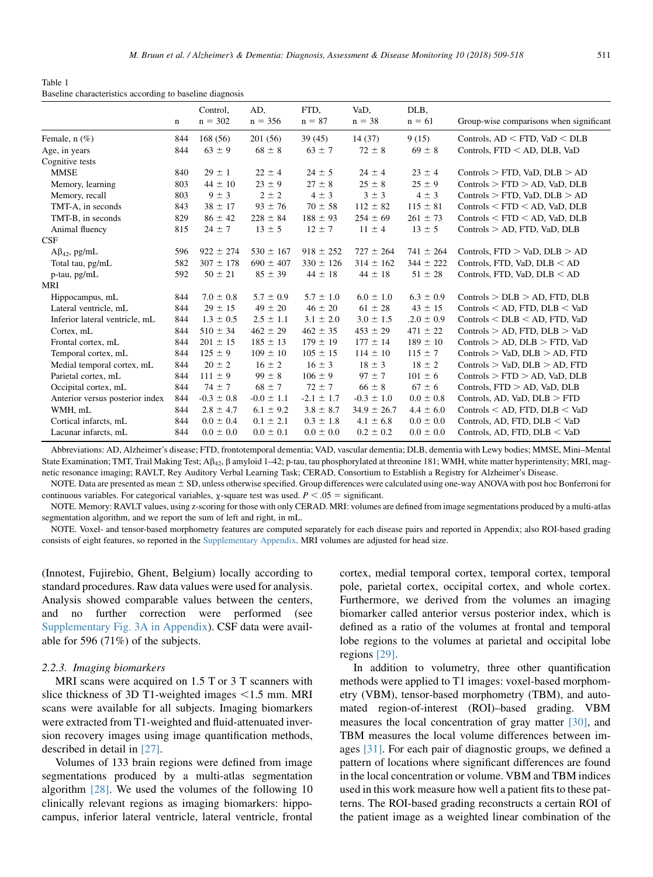<span id="page-2-0"></span>Table 1 Baseline characteristics according to baseline diagnosis

|                                 |             | Control,       | AD,            | FTD,           | VaD.            | DLB,           |                                                                    |
|---------------------------------|-------------|----------------|----------------|----------------|-----------------|----------------|--------------------------------------------------------------------|
|                                 | $\mathbf n$ | $n = 302$      | $n = 356$      | $n = 87$       | $n = 38$        | $n = 61$       | Group-wise comparisons when significant                            |
| Female, $n$ $(\%)$              | 844         | 168(56)        | 201(56)        | 39(45)         | 14(37)          | 9(15)          | Controls, $AD < FTD$ , $VaD < DLB$                                 |
| Age, in years                   | 844         | $63 \pm 9$     | $68 \pm 8$     | $63 \pm 7$     | $72 \pm 8$      | $69 \pm 8$     | Controls, $FTD < AD$ , DLB, VaD                                    |
| Cognitive tests                 |             |                |                |                |                 |                |                                                                    |
| <b>MMSE</b>                     | 840         | $29 \pm 1$     | $22 \pm 4$     | $24 \pm 5$     | $24 \pm 4$      | $23 \pm 4$     | Controls $>$ FTD, VaD, DLB $>$ AD                                  |
| Memory, learning                | 803         | $44 \pm 10$    | $23 \pm 9$     | $27 \pm 8$     | $25 \pm 8$      | $25 \pm 9$     | $\text{Controls} > \text{FTD} > \text{AD}$ , VaD, DLB              |
| Memory, recall                  | 803         | $9 \pm 3$      | $2 \pm 2$      | $4 \pm 3$      | $3 \pm 3$       | $4 \pm 3$      | Controls $>$ FTD, VaD, DLB $>$ AD                                  |
| TMT-A, in seconds               | 843         | $38 \pm 17$    | $93 \pm 76$    | $70 \pm 58$    | $112 \pm 82$    | $115 \pm 81$   | $\text{Controls} < \text{FTD} < \text{AD}, \text{VaD}, \text{DLB}$ |
| TMT-B, in seconds               | 829         | $86 \pm 42$    | $228 \pm 84$   | $188 \pm 93$   | $254 \pm 69$    | $261 \pm 73$   | Controls $\leq$ FTD $\leq$ AD, VaD, DLB                            |
| Animal fluency                  | 815         | $24 \pm 7$     | $13 \pm 5$     | $12 \pm 7$     | $11 \pm 4$      | $13 \pm 5$     | Controls $>$ AD, FTD, VaD, DLB                                     |
| CSF                             |             |                |                |                |                 |                |                                                                    |
| $A\beta_{42}$ , pg/mL           | 596         | $922 \pm 274$  | $530 \pm 167$  | $918 \pm 252$  | $727 \pm 264$   | $741 \pm 264$  | Controls, $FTD > VaD$ , $DLB > AD$                                 |
| Total tau, pg/mL                | 582         | $307 \pm 178$  | $690 \pm 407$  | $330 \pm 126$  | $314 \pm 162$   | $344 \pm 222$  | Controls, FTD, VaD, $DLB < AD$                                     |
| p-tau, pg/mL                    | 592         | $50 \pm 21$    | $85 \pm 39$    | $44 \pm 18$    | $44 \pm 18$     | $51 \pm 28$    | Controls, FTD, VaD, $DLB < AD$                                     |
| <b>MRI</b>                      |             |                |                |                |                 |                |                                                                    |
| Hippocampus, mL                 | 844         | $7.0 \pm 0.8$  | $5.7 \pm 0.9$  | $5.7 \pm 1.0$  | $6.0 \pm 1.0$   | $6.3 \pm 0.9$  | $\text{Controls} > \text{DLB} > \text{AD}$ , FTD, DLB              |
| Lateral ventricle, mL           | 844         | $29 \pm 15$    | $49 \pm 20$    | $46 \pm 20$    | $61 \pm 28$     | $43 \pm 15$    | Controls $\le$ AD, FTD, DLB $\le$ VaD                              |
| Inferior lateral ventricle, mL  | 844         | $1.3 \pm 0.5$  | $2.5 \pm 1.1$  | $3.1 \pm 2.0$  | $3.0 \pm 1.5$   | $.2.0 \pm 0.9$ | Controls $\leq$ DLB $\leq$ AD, FTD, VaD                            |
| Cortex, mL                      | 844         | $510 \pm 34$   | $462 \pm 29$   | $462 \pm 35$   | $453 \pm 29$    | $471 \pm 22$   | Controls $>$ AD, FTD, DLB $>$ VaD                                  |
| Frontal cortex, mL              | 844         | $201 \pm 15$   | $185 \pm 13$   | $179 \pm 19$   | $177 \pm 14$    | $189 \pm 10$   | Controls $>$ AD, DLB $>$ FTD, VaD                                  |
| Temporal cortex, mL             | 844         | $125 \pm 9$    | $109 \pm 10$   | $105 \pm 15$   | $114 \pm 10$    | $115 \pm 7$    | Controls $>$ VaD, DLB $>$ AD, FTD                                  |
| Medial temporal cortex, mL      | 844         | $20 \pm 2$     | $16 \pm 2$     | $16 \pm 3$     | $18 \pm 3$      | $18 \pm 2$     | Controls $>$ VaD, DLB $>$ AD, FTD                                  |
| Parietal cortex, mL             | 844         | $111 \pm 9$    | $99 \pm 8$     | $106 \pm 9$    | $97 \pm 7$      | $101 \pm 6$    | $\text{Controls} > \text{FTD} > \text{AD}$ , VaD, DLB              |
| Occipital cortex, mL            | 844         | $74 \pm 7$     | $68 \pm 7$     | $72 \pm 7$     | $66 \pm 8$      | $67 \pm 6$     | Controls, $FTD > AD$ , VaD, DLB                                    |
| Anterior versus posterior index | 844         | $-0.3 \pm 0.8$ | $-0.0 \pm 1.1$ | $-2.1 \pm 1.7$ | $-0.3 \pm 1.0$  | $0.0 \pm 0.8$  | Controls, AD, VaD, $DLB > FTD$                                     |
| WMH, mL                         | 844         | $2.8 \pm 4.7$  | $6.1 \pm 9.2$  | $3.8 \pm 8.7$  | $34.9 \pm 26.7$ | $4.4 \pm 6.0$  | Controls $\le$ AD, FTD, DLB $\le$ VaD                              |
| Cortical infarcts, mL           | 844         | $0.0 \pm 0.4$  | $0.1 \pm 2.1$  | $0.3 \pm 1.8$  | $4.1 \pm 6.8$   | $0.0 \pm 0.0$  | Controls, AD, FTD, DLB < VaD                                       |
| Lacunar infarcts, mL            | 844         | $0.0 \pm 0.0$  | $0.0 \pm 0.1$  | $0.0 \pm 0.0$  | $0.2 \pm 0.2$   | $0.0 \pm 0.0$  | Controls, AD, FTD, $DLB <$ VaD                                     |

Abbreviations: AD, Alzheimer's disease; FTD, frontotemporal dementia; VAD, vascular dementia; DLB, dementia with Lewy bodies; MMSE, Mini–Mental State Examination; TMT, Trail Making Test;  $A\beta_{42}$ ,  $\beta$  amyloid 1–42; p-tau, tau phosphorylated at threonine 181; WMH, white matter hyperintensity; MRI, magnetic resonance imaging; RAVLT, Rey Auditory Verbal Learning Task; CERAD, Consortium to Establish a Registry for Alzheimer's Disease.

NOTE. Data are presented as mean  $\pm$  SD, unless otherwise specified. Group differences were calculated using one-way ANOVA with post hoc Bonferroni for continuous variables. For categorical variables,  $\chi$ -square test was used.  $P < .05$  = significant.

NOTE. Memory: RAVLT values, using z-scoring for those with only CERAD. MRI: volumes are defined from image segmentations produced by a multi-atlas segmentation algorithm, and we report the sum of left and right, in mL.

NOTE. Voxel- and tensor-based morphometry features are computed separately for each disease pairs and reported in Appendix; also ROI-based grading consists of eight features, so reported in the [Supplementary Appendix](#page-8-0). MRI volumes are adjusted for head size.

(Innotest, Fujirebio, Ghent, Belgium) locally according to standard procedures. Raw data values were used for analysis. Analysis showed comparable values between the centers, and no further correction were performed (see [Supplementary Fig. 3A in Appendix](#page-8-0)). CSF data were available for 596 (71%) of the subjects.

#### 2.2.3. Imaging biomarkers

MRI scans were acquired on 1.5 T or 3 T scanners with slice thickness of 3D T1-weighted images  $\leq 1.5$  mm. MRI scans were available for all subjects. Imaging biomarkers were extracted from T1-weighted and fluid-attenuated inversion recovery images using image quantification methods, described in detail in [\[27\]](#page-9-0).

Volumes of 133 brain regions were defined from image segmentations produced by a multi-atlas segmentation algorithm [\[28\]](#page-9-0). We used the volumes of the following 10 clinically relevant regions as imaging biomarkers: hippocampus, inferior lateral ventricle, lateral ventricle, frontal cortex, medial temporal cortex, temporal cortex, temporal pole, parietal cortex, occipital cortex, and whole cortex. Furthermore, we derived from the volumes an imaging biomarker called anterior versus posterior index, which is defined as a ratio of the volumes at frontal and temporal lobe regions to the volumes at parietal and occipital lobe regions [\[29\].](#page-9-0)

In addition to volumetry, three other quantification methods were applied to T1 images: voxel-based morphometry (VBM), tensor-based morphometry (TBM), and automated region-of-interest (ROI)–based grading. VBM measures the local concentration of gray matter [\[30\]](#page-9-0), and TBM measures the local volume differences between images [\[31\]](#page-9-0). For each pair of diagnostic groups, we defined a pattern of locations where significant differences are found in the local concentration or volume. VBM and TBM indices used in this work measure how well a patient fits to these patterns. The ROI-based grading reconstructs a certain ROI of the patient image as a weighted linear combination of the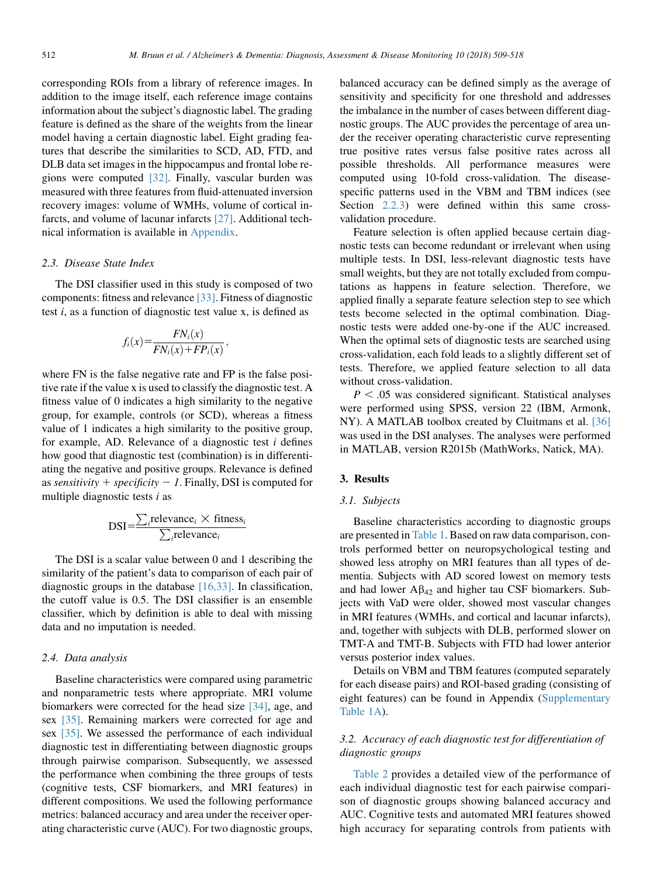corresponding ROIs from a library of reference images. In addition to the image itself, each reference image contains information about the subject's diagnostic label. The grading feature is defined as the share of the weights from the linear model having a certain diagnostic label. Eight grading features that describe the similarities to SCD, AD, FTD, and DLB data set images in the hippocampus and frontal lobe regions were computed [\[32\]](#page-9-0). Finally, vascular burden was measured with three features from fluid-attenuated inversion recovery images: volume of WMHs, volume of cortical infarcts, and volume of lacunar infarcts [\[27\].](#page-9-0) Additional technical information is available in [Appendix.](#page-8-0)

#### 2.3. Disease State Index

The DSI classifier used in this study is composed of two components: fitness and relevance [\[33\]](#page-9-0). Fitness of diagnostic test  $i$ , as a function of diagnostic test value  $x$ , is defined as

$$
f_i(x) = \frac{FN_i(x)}{FN_i(x) + FP_i(x)}
$$

;

where FN is the false negative rate and FP is the false positive rate if the value x is used to classify the diagnostic test. A fitness value of 0 indicates a high similarity to the negative group, for example, controls (or SCD), whereas a fitness value of 1 indicates a high similarity to the positive group, for example, AD. Relevance of a diagnostic test  $i$  defines how good that diagnostic test (combination) is in differentiating the negative and positive groups. Relevance is defined as sensitivity + specificity  $-1$ . Finally, DSI is computed for multiple diagnostic tests  $i$  as

$$
DSI = \frac{\sum_{i} \text{relevance}_{i} \times \text{fitness}_{i}}{\sum_{i} \text{relevance}_{i}}
$$

The DSI is a scalar value between 0 and 1 describing the similarity of the patient's data to comparison of each pair of diagnostic groups in the database  $[16,33]$ . In classification, the cutoff value is 0.5. The DSI classifier is an ensemble classifier, which by definition is able to deal with missing data and no imputation is needed.

## 2.4. Data analysis

Baseline characteristics were compared using parametric and nonparametric tests where appropriate. MRI volume biomarkers were corrected for the head size [\[34\]](#page-9-0), age, and sex [\[35\].](#page-9-0) Remaining markers were corrected for age and sex [\[35\]](#page-9-0). We assessed the performance of each individual diagnostic test in differentiating between diagnostic groups through pairwise comparison. Subsequently, we assessed the performance when combining the three groups of tests (cognitive tests, CSF biomarkers, and MRI features) in different compositions. We used the following performance metrics: balanced accuracy and area under the receiver operating characteristic curve (AUC). For two diagnostic groups, balanced accuracy can be defined simply as the average of sensitivity and specificity for one threshold and addresses the imbalance in the number of cases between different diagnostic groups. The AUC provides the percentage of area under the receiver operating characteristic curve representing true positive rates versus false positive rates across all possible thresholds. All performance measures were computed using 10-fold cross-validation. The diseasespecific patterns used in the VBM and TBM indices (see Section [2.2.3](#page-2-0)) were defined within this same crossvalidation procedure.

Feature selection is often applied because certain diagnostic tests can become redundant or irrelevant when using multiple tests. In DSI, less-relevant diagnostic tests have small weights, but they are not totally excluded from computations as happens in feature selection. Therefore, we applied finally a separate feature selection step to see which tests become selected in the optimal combination. Diagnostic tests were added one-by-one if the AUC increased. When the optimal sets of diagnostic tests are searched using cross-validation, each fold leads to a slightly different set of tests. Therefore, we applied feature selection to all data without cross-validation.

 $P < .05$  was considered significant. Statistical analyses were performed using SPSS, version 22 (IBM, Armonk, NY). A MATLAB toolbox created by Cluitmans et al. [\[36\]](#page-9-0) was used in the DSI analyses. The analyses were performed in MATLAB, version R2015b (MathWorks, Natick, MA).

#### 3. Results

## 3.1. Subjects

Baseline characteristics according to diagnostic groups are presented in [Table 1.](#page-2-0) Based on raw data comparison, controls performed better on neuropsychological testing and showed less atrophy on MRI features than all types of dementia. Subjects with AD scored lowest on memory tests and had lower  $A\beta_{42}$  and higher tau CSF biomarkers. Subjects with VaD were older, showed most vascular changes in MRI features (WMHs, and cortical and lacunar infarcts), and, together with subjects with DLB, performed slower on TMT-A and TMT-B. Subjects with FTD had lower anterior versus posterior index values.

Details on VBM and TBM features (computed separately for each disease pairs) and ROI-based grading (consisting of eight features) can be found in Appendix [\(Supplementary](#page-8-0) [Table 1A](#page-8-0)).

## 3.2. Accuracy of each diagnostic test for differentiation of diagnostic groups

[Table 2](#page-4-0) provides a detailed view of the performance of each individual diagnostic test for each pairwise comparison of diagnostic groups showing balanced accuracy and AUC. Cognitive tests and automated MRI features showed high accuracy for separating controls from patients with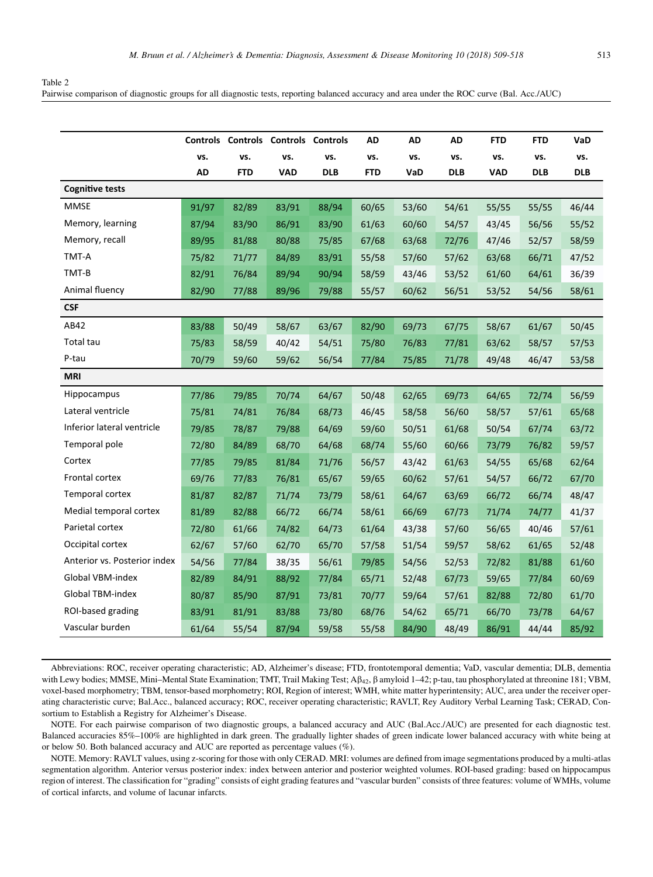#### <span id="page-4-0"></span>Table 2

Pairwise comparison of diagnostic groups for all diagnostic tests, reporting balanced accuracy and area under the ROC curve (Bal. Acc./AUC)

|                              |       |       | Controls Controls Controls Controls |            | AD         | AD    | AD         | <b>FTD</b> | <b>FTD</b> | VaD        |
|------------------------------|-------|-------|-------------------------------------|------------|------------|-------|------------|------------|------------|------------|
|                              | vs.   | vs.   | vs.                                 | vs.        | vs.        | vs.   | VS.        | VS.        | vs.        | vs.        |
|                              | AD    | FTD   | <b>VAD</b>                          | <b>DLB</b> | <b>FTD</b> | VaD   | <b>DLB</b> | <b>VAD</b> | <b>DLB</b> | <b>DLB</b> |
| <b>Cognitive tests</b>       |       |       |                                     |            |            |       |            |            |            |            |
| <b>MMSE</b>                  | 91/97 | 82/89 | 83/91                               | 88/94      | 60/65      | 53/60 | 54/61      | 55/55      | 55/55      | 46/44      |
| Memory, learning             | 87/94 | 83/90 | 86/91                               | 83/90      | 61/63      | 60/60 | 54/57      | 43/45      | 56/56      | 55/52      |
| Memory, recall               | 89/95 | 81/88 | 80/88                               | 75/85      | 67/68      | 63/68 | 72/76      | 47/46      | 52/57      | 58/59      |
| TMT-A                        | 75/82 | 71/77 | 84/89                               | 83/91      | 55/58      | 57/60 | 57/62      | 63/68      | 66/71      | 47/52      |
| TMT-B                        | 82/91 | 76/84 | 89/94                               | 90/94      | 58/59      | 43/46 | 53/52      | 61/60      | 64/61      | 36/39      |
| Animal fluency               | 82/90 | 77/88 | 89/96                               | 79/88      | 55/57      | 60/62 | 56/51      | 53/52      | 54/56      | 58/61      |
| <b>CSF</b>                   |       |       |                                     |            |            |       |            |            |            |            |
| AB42                         | 83/88 | 50/49 | 58/67                               | 63/67      | 82/90      | 69/73 | 67/75      | 58/67      | 61/67      | 50/45      |
| Total tau                    | 75/83 | 58/59 | 40/42                               | 54/51      | 75/80      | 76/83 | 77/81      | 63/62      | 58/57      | 57/53      |
| P-tau                        | 70/79 | 59/60 | 59/62                               | 56/54      | 77/84      | 75/85 | 71/78      | 49/48      | 46/47      | 53/58      |
| <b>MRI</b>                   |       |       |                                     |            |            |       |            |            |            |            |
| Hippocampus                  | 77/86 | 79/85 | 70/74                               | 64/67      | 50/48      | 62/65 | 69/73      | 64/65      | 72/74      | 56/59      |
| Lateral ventricle            | 75/81 | 74/81 | 76/84                               | 68/73      | 46/45      | 58/58 | 56/60      | 58/57      | 57/61      | 65/68      |
| Inferior lateral ventricle   | 79/85 | 78/87 | 79/88                               | 64/69      | 59/60      | 50/51 | 61/68      | 50/54      | 67/74      | 63/72      |
| Temporal pole                | 72/80 | 84/89 | 68/70                               | 64/68      | 68/74      | 55/60 | 60/66      | 73/79      | 76/82      | 59/57      |
| Cortex                       | 77/85 | 79/85 | 81/84                               | 71/76      | 56/57      | 43/42 | 61/63      | 54/55      | 65/68      | 62/64      |
| Frontal cortex               | 69/76 | 77/83 | 76/81                               | 65/67      | 59/65      | 60/62 | 57/61      | 54/57      | 66/72      | 67/70      |
| Temporal cortex              | 81/87 | 82/87 | 71/74                               | 73/79      | 58/61      | 64/67 | 63/69      | 66/72      | 66/74      | 48/47      |
| Medial temporal cortex       | 81/89 | 82/88 | 66/72                               | 66/74      | 58/61      | 66/69 | 67/73      | 71/74      | 74/77      | 41/37      |
| Parietal cortex              | 72/80 | 61/66 | 74/82                               | 64/73      | 61/64      | 43/38 | 57/60      | 56/65      | 40/46      | 57/61      |
| Occipital cortex             | 62/67 | 57/60 | 62/70                               | 65/70      | 57/58      | 51/54 | 59/57      | 58/62      | 61/65      | 52/48      |
| Anterior vs. Posterior index | 54/56 | 77/84 | 38/35                               | 56/61      | 79/85      | 54/56 | 52/53      | 72/82      | 81/88      | 61/60      |
| Global VBM-index             | 82/89 | 84/91 | 88/92                               | 77/84      | 65/71      | 52/48 | 67/73      | 59/65      | 77/84      | 60/69      |
| Global TBM-index             | 80/87 | 85/90 | 87/91                               | 73/81      | 70/77      | 59/64 | 57/61      | 82/88      | 72/80      | 61/70      |
| ROI-based grading            | 83/91 | 81/91 | 83/88                               | 73/80      | 68/76      | 54/62 | 65/71      | 66/70      | 73/78      | 64/67      |
| Vascular burden              | 61/64 | 55/54 | 87/94                               | 59/58      | 55/58      | 84/90 | 48/49      | 86/91      | 44/44      | 85/92      |

Abbreviations: ROC, receiver operating characteristic; AD, Alzheimer's disease; FTD, frontotemporal dementia; VaD, vascular dementia; DLB, dementia with Lewy bodies; MMSE, Mini–Mental State Examination; TMT, Trail Making Test;  $A\beta_{42}$ ,  $\beta$  amyloid 1–42; p-tau, tau phosphorylated at threonine 181; VBM, voxel-based morphometry; TBM, tensor-based morphometry; ROI, Region of interest; WMH, white matter hyperintensity; AUC, area under the receiver operating characteristic curve; Bal.Acc., balanced accuracy; ROC, receiver operating characteristic; RAVLT, Rey Auditory Verbal Learning Task; CERAD, Consortium to Establish a Registry for Alzheimer's Disease.

NOTE. For each pairwise comparison of two diagnostic groups, a balanced accuracy and AUC (Bal.Acc./AUC) are presented for each diagnostic test. Balanced accuracies 85%–100% are highlighted in dark green. The gradually lighter shades of green indicate lower balanced accuracy with white being at or below 50. Both balanced accuracy and AUC are reported as percentage values (%).

NOTE. Memory: RAVLT values, using z-scoring for those with only CERAD. MRI: volumes are defined from image segmentations produced by a multi-atlas segmentation algorithm. Anterior versus posterior index: index between anterior and posterior weighted volumes. ROI-based grading: based on hippocampus region of interest. The classification for "grading" consists of eight grading features and "vascular burden" consists of three features: volume of WMHs, volume of cortical infarcts, and volume of lacunar infarcts.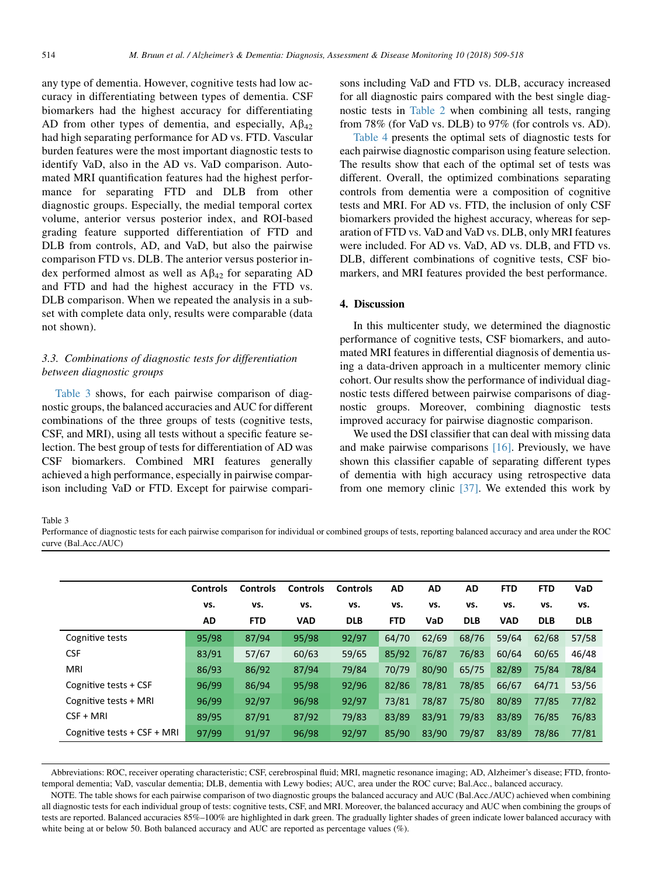any type of dementia. However, cognitive tests had low accuracy in differentiating between types of dementia. CSF biomarkers had the highest accuracy for differentiating AD from other types of dementia, and especially,  $A\beta_{42}$ had high separating performance for AD vs. FTD. Vascular burden features were the most important diagnostic tests to identify VaD, also in the AD vs. VaD comparison. Automated MRI quantification features had the highest performance for separating FTD and DLB from other diagnostic groups. Especially, the medial temporal cortex volume, anterior versus posterior index, and ROI-based grading feature supported differentiation of FTD and DLB from controls, AD, and VaD, but also the pairwise comparison FTD vs. DLB. The anterior versus posterior index performed almost as well as  $A\beta_{42}$  for separating AD and FTD and had the highest accuracy in the FTD vs. DLB comparison. When we repeated the analysis in a subset with complete data only, results were comparable (data not shown).

## 3.3. Combinations of diagnostic tests for differentiation between diagnostic groups

Table 3 shows, for each pairwise comparison of diagnostic groups, the balanced accuracies and AUC for different combinations of the three groups of tests (cognitive tests, CSF, and MRI), using all tests without a specific feature selection. The best group of tests for differentiation of AD was CSF biomarkers. Combined MRI features generally achieved a high performance, especially in pairwise comparison including VaD or FTD. Except for pairwise comparisons including VaD and FTD vs. DLB, accuracy increased for all diagnostic pairs compared with the best single diagnostic tests in [Table 2](#page-4-0) when combining all tests, ranging from 78% (for VaD vs. DLB) to 97% (for controls vs. AD).

[Table 4](#page-6-0) presents the optimal sets of diagnostic tests for each pairwise diagnostic comparison using feature selection. The results show that each of the optimal set of tests was different. Overall, the optimized combinations separating controls from dementia were a composition of cognitive tests and MRI. For AD vs. FTD, the inclusion of only CSF biomarkers provided the highest accuracy, whereas for separation of FTD vs. VaD and VaD vs. DLB, only MRI features were included. For AD vs. VaD, AD vs. DLB, and FTD vs. DLB, different combinations of cognitive tests, CSF biomarkers, and MRI features provided the best performance.

## 4. Discussion

In this multicenter study, we determined the diagnostic performance of cognitive tests, CSF biomarkers, and automated MRI features in differential diagnosis of dementia using a data-driven approach in a multicenter memory clinic cohort. Our results show the performance of individual diagnostic tests differed between pairwise comparisons of diagnostic groups. Moreover, combining diagnostic tests improved accuracy for pairwise diagnostic comparison.

We used the DSI classifier that can deal with missing data and make pairwise comparisons [\[16\]](#page-8-0). Previously, we have shown this classifier capable of separating different types of dementia with high accuracy using retrospective data from one memory clinic [\[37\]](#page-9-0). We extended this work by

Table 3

Performance of diagnostic tests for each pairwise comparison for individual or combined groups of tests, reporting balanced accuracy and area under the ROC curve (Bal.Acc./AUC)

|                             | <b>Controls</b> | <b>Controls</b> | <b>Controls</b> | <b>Controls</b> | AD         | <b>AD</b> | <b>AD</b>  | <b>FTD</b> | <b>FTD</b> | VaD        |
|-----------------------------|-----------------|-----------------|-----------------|-----------------|------------|-----------|------------|------------|------------|------------|
|                             | vs.             | VS.             | vs.             | vs.             | vs.        | VS.       | vs.        | VS.        | vs.        | vs.        |
|                             | AD              | <b>FTD</b>      | <b>VAD</b>      | <b>DLB</b>      | <b>FTD</b> | VaD       | <b>DLB</b> | <b>VAD</b> | <b>DLB</b> | <b>DLB</b> |
| Cognitive tests             | 95/98           | 87/94           | 95/98           | 92/97           | 64/70      | 62/69     | 68/76      | 59/64      | 62/68      | 57/58      |
| <b>CSF</b>                  | 83/91           | 57/67           | 60/63           | 59/65           | 85/92      | 76/87     | 76/83      | 60/64      | 60/65      | 46/48      |
| <b>MRI</b>                  | 86/93           | 86/92           | 87/94           | 79/84           | 70/79      | 80/90     | 65/75      | 82/89      | 75/84      | 78/84      |
| Cognitive tests + CSF       | 96/99           | 86/94           | 95/98           | 92/96           | 82/86      | 78/81     | 78/85      | 66/67      | 64/71      | 53/56      |
| Cognitive tests + MRI       | 96/99           | 92/97           | 96/98           | 92/97           | 73/81      | 78/87     | 75/80      | 80/89      | 77/85      | 77/82      |
| $CSF + MRI$                 | 89/95           | 87/91           | 87/92           | 79/83           | 83/89      | 83/91     | 79/83      | 83/89      | 76/85      | 76/83      |
| Cognitive tests + CSF + MRI | 97/99           | 91/97           | 96/98           | 92/97           | 85/90      | 83/90     | 79/87      | 83/89      | 78/86      | 77/81      |

Abbreviations: ROC, receiver operating characteristic; CSF, cerebrospinal fluid; MRI, magnetic resonance imaging; AD, Alzheimer's disease; FTD, frontotemporal dementia; VaD, vascular dementia; DLB, dementia with Lewy bodies; AUC, area under the ROC curve; Bal.Acc., balanced accuracy.

NOTE. The table shows for each pairwise comparison of two diagnostic groups the balanced accuracy and AUC (Bal.Acc./AUC) achieved when combining all diagnostic tests for each individual group of tests: cognitive tests, CSF, and MRI. Moreover, the balanced accuracy and AUC when combining the groups of tests are reported. Balanced accuracies 85%–100% are highlighted in dark green. The gradually lighter shades of green indicate lower balanced accuracy with white being at or below 50. Both balanced accuracy and AUC are reported as percentage values (%).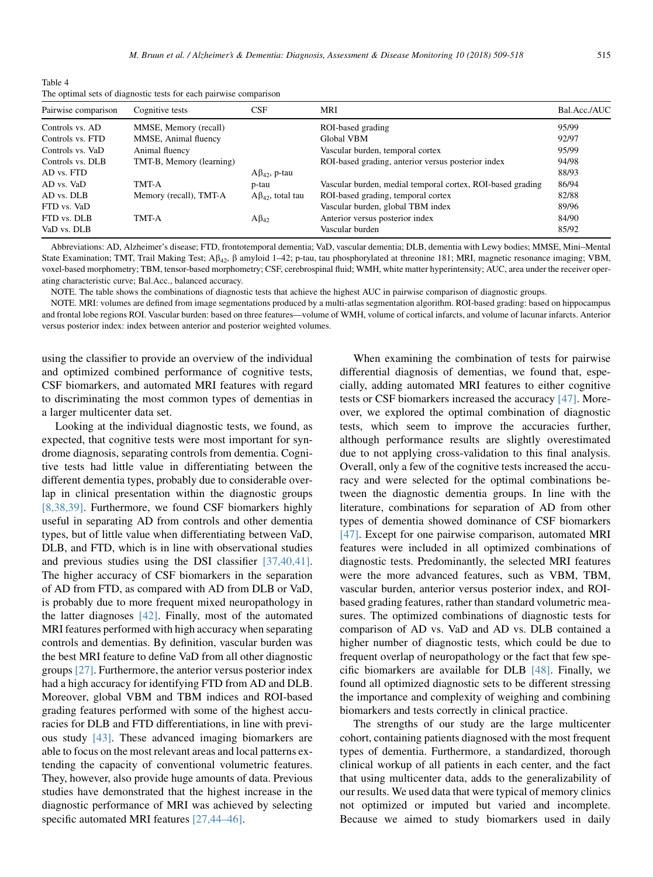<span id="page-6-0"></span>Table 4 The optimal sets of diagnostic tests for each pairwise comparison

| Pairwise comparison | Cognitive tests          | CSF                       | MRI                                                        | Bal.Acc./AUC |
|---------------------|--------------------------|---------------------------|------------------------------------------------------------|--------------|
| Controls vs. AD     | MMSE, Memory (recall)    |                           | ROI-based grading                                          | 95/99        |
| Controls vs. FTD    | MMSE, Animal fluency     |                           | Global VBM                                                 | 92/97        |
| Controls vs. VaD    | Animal fluency           |                           | Vascular burden, temporal cortex                           | 95/99        |
| Controls vs. DLB    | TMT-B, Memory (learning) |                           | ROI-based grading, anterior versus posterior index         | 94/98        |
| AD vs. FTD          |                          | $A\beta_{42}$ , p-tau     |                                                            | 88/93        |
| AD vs. VaD          | TMT-A                    | p-tau                     | Vascular burden, medial temporal cortex, ROI-based grading | 86/94        |
| AD vs. DLB          | Memory (recall), TMT-A   | $A\beta_{42}$ , total tau | ROI-based grading, temporal cortex                         | 82/88        |
| FTD vs. VaD         |                          |                           | Vascular burden, global TBM index                          | 89/96        |
| FTD vs. DLB         | TMT-A                    | $A\beta_{42}$             | Anterior versus posterior index                            | 84/90        |
| VaD vs. DLB         |                          |                           | Vascular burden                                            | 85/92        |

Abbreviations: AD, Alzheimer's disease; FTD, frontotemporal dementia; VaD, vascular dementia; DLB, dementia with Lewy bodies; MMSE, Mini–Mental State Examination; TMT, Trail Making Test;  $A\beta_{42}$ ,  $\beta$  amyloid 1–42; p-tau, tau phosphorylated at threonine 181; MRI, magnetic resonance imaging; VBM, voxel-based morphometry; TBM, tensor-based morphometry; CSF, cerebrospinal fluid; WMH, white matter hyperintensity; AUC, area under the receiver operating characteristic curve; Bal.Acc., balanced accuracy.

NOTE. The table shows the combinations of diagnostic tests that achieve the highest AUC in pairwise comparison of diagnostic groups.

NOTE. MRI: volumes are defined from image segmentations produced by a multi-atlas segmentation algorithm. ROI-based grading: based on hippocampus and frontal lobe regions ROI. Vascular burden: based on three features—volume of WMH, volume of cortical infarcts, and volume of lacunar infarcts. Anterior versus posterior index: index between anterior and posterior weighted volumes.

using the classifier to provide an overview of the individual and optimized combined performance of cognitive tests, CSF biomarkers, and automated MRI features with regard to discriminating the most common types of dementias in a larger multicenter data set.

Looking at the individual diagnostic tests, we found, as expected, that cognitive tests were most important for syndrome diagnosis, separating controls from dementia. Cognitive tests had little value in differentiating between the different dementia types, probably due to considerable overlap in clinical presentation within the diagnostic groups [\[8,38,39\].](#page-8-0) Furthermore, we found CSF biomarkers highly useful in separating AD from controls and other dementia types, but of little value when differentiating between VaD, DLB, and FTD, which is in line with observational studies and previous studies using the DSI classifier [\[37,40,41\].](#page-9-0) The higher accuracy of CSF biomarkers in the separation of AD from FTD, as compared with AD from DLB or VaD, is probably due to more frequent mixed neuropathology in the latter diagnoses [\[42\]](#page-9-0). Finally, most of the automated MRI features performed with high accuracy when separating controls and dementias. By definition, vascular burden was the best MRI feature to define VaD from all other diagnostic groups [\[27\].](#page-9-0) Furthermore, the anterior versus posterior index had a high accuracy for identifying FTD from AD and DLB. Moreover, global VBM and TBM indices and ROI-based grading features performed with some of the highest accuracies for DLB and FTD differentiations, in line with previous study [\[43\]](#page-9-0). These advanced imaging biomarkers are able to focus on the most relevant areas and local patterns extending the capacity of conventional volumetric features. They, however, also provide huge amounts of data. Previous studies have demonstrated that the highest increase in the diagnostic performance of MRI was achieved by selecting specific automated MRI features [\[27,44–46\].](#page-9-0)

When examining the combination of tests for pairwise differential diagnosis of dementias, we found that, especially, adding automated MRI features to either cognitive tests or CSF biomarkers increased the accuracy [\[47\]](#page-9-0). Moreover, we explored the optimal combination of diagnostic tests, which seem to improve the accuracies further, although performance results are slightly overestimated due to not applying cross-validation to this final analysis. Overall, only a few of the cognitive tests increased the accuracy and were selected for the optimal combinations between the diagnostic dementia groups. In line with the literature, combinations for separation of AD from other types of dementia showed dominance of CSF biomarkers [\[47\].](#page-9-0) Except for one pairwise comparison, automated MRI features were included in all optimized combinations of diagnostic tests. Predominantly, the selected MRI features were the more advanced features, such as VBM, TBM, vascular burden, anterior versus posterior index, and ROIbased grading features, rather than standard volumetric measures. The optimized combinations of diagnostic tests for comparison of AD vs. VaD and AD vs. DLB contained a higher number of diagnostic tests, which could be due to frequent overlap of neuropathology or the fact that few specific biomarkers are available for DLB [\[48\].](#page-9-0) Finally, we found all optimized diagnostic sets to be different stressing the importance and complexity of weighing and combining biomarkers and tests correctly in clinical practice.

The strengths of our study are the large multicenter cohort, containing patients diagnosed with the most frequent types of dementia. Furthermore, a standardized, thorough clinical workup of all patients in each center, and the fact that using multicenter data, adds to the generalizability of our results. We used data that were typical of memory clinics not optimized or imputed but varied and incomplete. Because we aimed to study biomarkers used in daily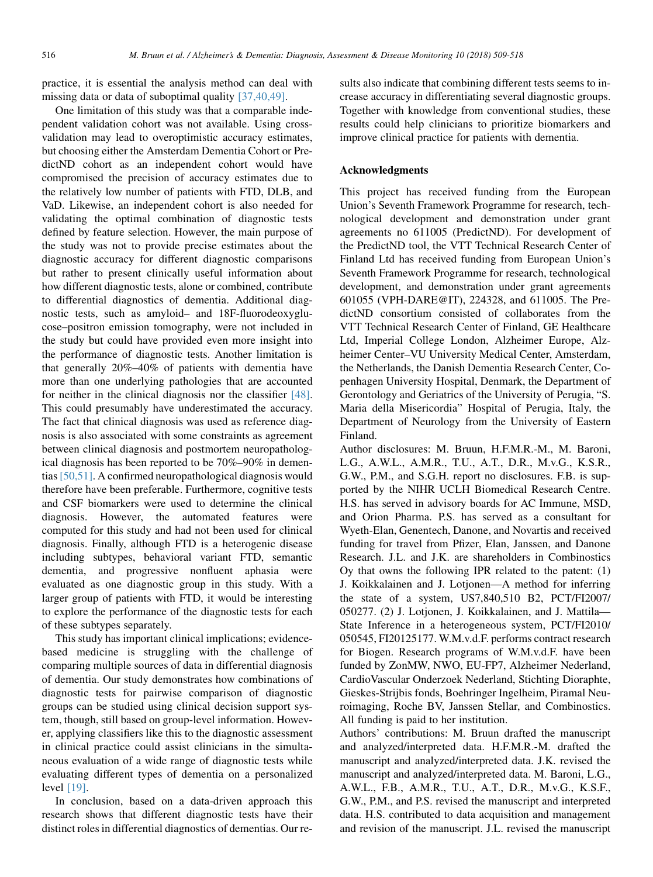practice, it is essential the analysis method can deal with missing data or data of suboptimal quality [\[37,40,49\].](#page-9-0)

One limitation of this study was that a comparable independent validation cohort was not available. Using crossvalidation may lead to overoptimistic accuracy estimates, but choosing either the Amsterdam Dementia Cohort or PredictND cohort as an independent cohort would have compromised the precision of accuracy estimates due to the relatively low number of patients with FTD, DLB, and VaD. Likewise, an independent cohort is also needed for validating the optimal combination of diagnostic tests defined by feature selection. However, the main purpose of the study was not to provide precise estimates about the diagnostic accuracy for different diagnostic comparisons but rather to present clinically useful information about how different diagnostic tests, alone or combined, contribute to differential diagnostics of dementia. Additional diagnostic tests, such as amyloid– and 18F-fluorodeoxyglucose–positron emission tomography, were not included in the study but could have provided even more insight into the performance of diagnostic tests. Another limitation is that generally 20%–40% of patients with dementia have more than one underlying pathologies that are accounted for neither in the clinical diagnosis nor the classifier [\[48\].](#page-9-0) This could presumably have underestimated the accuracy. The fact that clinical diagnosis was used as reference diagnosis is also associated with some constraints as agreement between clinical diagnosis and postmortem neuropathological diagnosis has been reported to be 70%–90% in dementias[\[50,51\].](#page-9-0) A confirmed neuropathological diagnosis would therefore have been preferable. Furthermore, cognitive tests and CSF biomarkers were used to determine the clinical diagnosis. However, the automated features were computed for this study and had not been used for clinical diagnosis. Finally, although FTD is a heterogenic disease including subtypes, behavioral variant FTD, semantic dementia, and progressive nonfluent aphasia were evaluated as one diagnostic group in this study. With a larger group of patients with FTD, it would be interesting to explore the performance of the diagnostic tests for each of these subtypes separately.

This study has important clinical implications; evidencebased medicine is struggling with the challenge of comparing multiple sources of data in differential diagnosis of dementia. Our study demonstrates how combinations of diagnostic tests for pairwise comparison of diagnostic groups can be studied using clinical decision support system, though, still based on group-level information. However, applying classifiers like this to the diagnostic assessment in clinical practice could assist clinicians in the simultaneous evaluation of a wide range of diagnostic tests while evaluating different types of dementia on a personalized level [\[19\].](#page-8-0)

In conclusion, based on a data-driven approach this research shows that different diagnostic tests have their distinct roles in differential diagnostics of dementias. Our results also indicate that combining different tests seems to increase accuracy in differentiating several diagnostic groups. Together with knowledge from conventional studies, these results could help clinicians to prioritize biomarkers and improve clinical practice for patients with dementia.

#### Acknowledgments

This project has received funding from the European Union's Seventh Framework Programme for research, technological development and demonstration under grant agreements no 611005 (PredictND). For development of the PredictND tool, the VTT Technical Research Center of Finland Ltd has received funding from European Union's Seventh Framework Programme for research, technological development, and demonstration under grant agreements 601055 (VPH-DARE@IT), 224328, and 611005. The PredictND consortium consisted of collaborates from the VTT Technical Research Center of Finland, GE Healthcare Ltd, Imperial College London, Alzheimer Europe, Alzheimer Center–VU University Medical Center, Amsterdam, the Netherlands, the Danish Dementia Research Center, Copenhagen University Hospital, Denmark, the Department of Gerontology and Geriatrics of the University of Perugia, "S. Maria della Misericordia" Hospital of Perugia, Italy, the Department of Neurology from the University of Eastern Finland.

Author disclosures: M. Bruun, H.F.M.R.-M., M. Baroni, L.G., A.W.L., A.M.R., T.U., A.T., D.R., M.v.G., K.S.R., G.W., P.M., and S.G.H. report no disclosures. F.B. is supported by the NIHR UCLH Biomedical Research Centre. H.S. has served in advisory boards for AC Immune, MSD, and Orion Pharma. P.S. has served as a consultant for Wyeth-Elan, Genentech, Danone, and Novartis and received funding for travel from Pfizer, Elan, Janssen, and Danone Research. J.L. and J.K. are shareholders in Combinostics Oy that owns the following IPR related to the patent: (1) J. Koikkalainen and J. Lotjonen—A method for inferring the state of a system, US7,840,510 B2, PCT/FI2007/ 050277. (2) J. Lotjonen, J. Koikkalainen, and J. Mattila— State Inference in a heterogeneous system, PCT/FI2010/ 050545, FI20125177. W.M.v.d.F. performs contract research for Biogen. Research programs of W.M.v.d.F. have been funded by ZonMW, NWO, EU-FP7, Alzheimer Nederland, CardioVascular Onderzoek Nederland, Stichting Dioraphte, Gieskes-Strijbis fonds, Boehringer Ingelheim, Piramal Neuroimaging, Roche BV, Janssen Stellar, and Combinostics. All funding is paid to her institution.

Authors' contributions: M. Bruun drafted the manuscript and analyzed/interpreted data. H.F.M.R.-M. drafted the manuscript and analyzed/interpreted data. J.K. revised the manuscript and analyzed/interpreted data. M. Baroni, L.G., A.W.L., F.B., A.M.R., T.U., A.T., D.R., M.v.G., K.S.F., G.W., P.M., and P.S. revised the manuscript and interpreted data. H.S. contributed to data acquisition and management and revision of the manuscript. J.L. revised the manuscript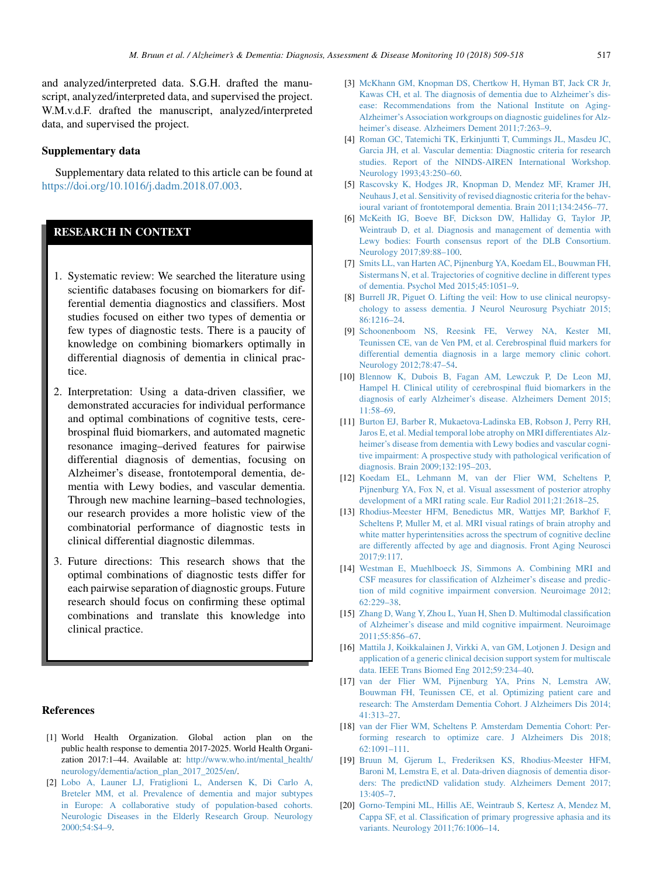<span id="page-8-0"></span>and analyzed/interpreted data. S.G.H. drafted the manuscript, analyzed/interpreted data, and supervised the project. W.M.v.d.F. drafted the manuscript, analyzed/interpreted data, and supervised the project.

## Supplementary data

Supplementary data related to this article can be found at <https://doi.org/10.1016/j.dadm.2018.07.003>.

## RESEARCH IN CONTEXT

- 1. Systematic review: We searched the literature using scientific databases focusing on biomarkers for differential dementia diagnostics and classifiers. Most studies focused on either two types of dementia or few types of diagnostic tests. There is a paucity of knowledge on combining biomarkers optimally in differential diagnosis of dementia in clinical practice.
- 2. Interpretation: Using a data-driven classifier, we demonstrated accuracies for individual performance and optimal combinations of cognitive tests, cerebrospinal fluid biomarkers, and automated magnetic resonance imaging–derived features for pairwise differential diagnosis of dementias, focusing on Alzheimer's disease, frontotemporal dementia, dementia with Lewy bodies, and vascular dementia. Through new machine learning–based technologies, our research provides a more holistic view of the combinatorial performance of diagnostic tests in clinical differential diagnostic dilemmas.
- 3. Future directions: This research shows that the optimal combinations of diagnostic tests differ for each pairwise separation of diagnostic groups. Future research should focus on confirming these optimal combinations and translate this knowledge into clinical practice.

## References

- [1] World Health Organization. Global action plan on the public health response to dementia 2017-2025. World Health Organization 2017:1–44. Available at: [http://www.who.int/mental\\_health/](http://www.who.int/mental_health/neurology/dementia/action_plan_2017_2025/en/) [neurology/dementia/action\\_plan\\_2017\\_2025/en/](http://www.who.int/mental_health/neurology/dementia/action_plan_2017_2025/en/).
- [2] [Lobo A, Launer LJ, Fratiglioni L, Andersen K, Di Carlo A,](http://refhub.elsevier.com/S2352-8729(18)30043-5/sref2) [Breteler MM, et al. Prevalence of dementia and major subtypes](http://refhub.elsevier.com/S2352-8729(18)30043-5/sref2) [in Europe: A collaborative study of population-based cohorts.](http://refhub.elsevier.com/S2352-8729(18)30043-5/sref2) [Neurologic Diseases in the Elderly Research Group. Neurology](http://refhub.elsevier.com/S2352-8729(18)30043-5/sref2)  $2000:54:84-9$
- [3] [McKhann GM, Knopman DS, Chertkow H, Hyman BT, Jack CR Jr,](http://refhub.elsevier.com/S2352-8729(18)30043-5/sref3) [Kawas CH, et al. The diagnosis of dementia due to Alzheimer's dis](http://refhub.elsevier.com/S2352-8729(18)30043-5/sref3)[ease: Recommendations from the National Institute on Aging-](http://refhub.elsevier.com/S2352-8729(18)30043-5/sref3)[Alzheimer's Association workgroups on diagnostic guidelines for Alz](http://refhub.elsevier.com/S2352-8729(18)30043-5/sref3)[heimer's disease. Alzheimers Dement 2011;7:263–9.](http://refhub.elsevier.com/S2352-8729(18)30043-5/sref3)
- [4] [Roman GC, Tatemichi TK, Erkinjuntti T, Cummings JL, Masdeu JC,](http://refhub.elsevier.com/S2352-8729(18)30043-5/sref4) [Garcia JH, et al. Vascular dementia: Diagnostic criteria for research](http://refhub.elsevier.com/S2352-8729(18)30043-5/sref4) [studies. Report of the NINDS-AIREN International Workshop.](http://refhub.elsevier.com/S2352-8729(18)30043-5/sref4) [Neurology 1993;43:250–60.](http://refhub.elsevier.com/S2352-8729(18)30043-5/sref4)
- [5] [Rascovsky K, Hodges JR, Knopman D, Mendez MF, Kramer JH,](http://refhub.elsevier.com/S2352-8729(18)30043-5/sref5) [Neuhaus J, et al. Sensitivity of revised diagnostic criteria for the behav](http://refhub.elsevier.com/S2352-8729(18)30043-5/sref5)[ioural variant of frontotemporal dementia. Brain 2011;134:2456–77.](http://refhub.elsevier.com/S2352-8729(18)30043-5/sref5)
- [6] [McKeith IG, Boeve BF, Dickson DW, Halliday G, Taylor JP,](http://refhub.elsevier.com/S2352-8729(18)30043-5/sref6) [Weintraub D, et al. Diagnosis and management of dementia with](http://refhub.elsevier.com/S2352-8729(18)30043-5/sref6) [Lewy bodies: Fourth consensus report of the DLB Consortium.](http://refhub.elsevier.com/S2352-8729(18)30043-5/sref6) [Neurology 2017;89:88–100.](http://refhub.elsevier.com/S2352-8729(18)30043-5/sref6)
- [7] [Smits LL, van Harten AC, Pijnenburg YA, Koedam EL, Bouwman FH,](http://refhub.elsevier.com/S2352-8729(18)30043-5/sref7) [Sistermans N, et al. Trajectories of cognitive decline in different types](http://refhub.elsevier.com/S2352-8729(18)30043-5/sref7) [of dementia. Psychol Med 2015;45:1051–9.](http://refhub.elsevier.com/S2352-8729(18)30043-5/sref7)
- [8] [Burrell JR, Piguet O. Lifting the veil: How to use clinical neuropsy](http://refhub.elsevier.com/S2352-8729(18)30043-5/sref8)[chology to assess dementia. J Neurol Neurosurg Psychiatr 2015;](http://refhub.elsevier.com/S2352-8729(18)30043-5/sref8) [86:1216–24](http://refhub.elsevier.com/S2352-8729(18)30043-5/sref8).
- [9] [Schoonenboom NS, Reesink FE, Verwey NA, Kester MI,](http://refhub.elsevier.com/S2352-8729(18)30043-5/sref9) [Teunissen CE, van de Ven PM, et al. Cerebrospinal fluid markers for](http://refhub.elsevier.com/S2352-8729(18)30043-5/sref9) [differential dementia diagnosis in a large memory clinic cohort.](http://refhub.elsevier.com/S2352-8729(18)30043-5/sref9) [Neurology 2012;78:47–54.](http://refhub.elsevier.com/S2352-8729(18)30043-5/sref9)
- [10] [Blennow K, Dubois B, Fagan AM, Lewczuk P, De Leon MJ,](http://refhub.elsevier.com/S2352-8729(18)30043-5/sref10) [Hampel H. Clinical utility of cerebrospinal fluid biomarkers in the](http://refhub.elsevier.com/S2352-8729(18)30043-5/sref10) [diagnosis of early Alzheimer's disease. Alzheimers Dement 2015;](http://refhub.elsevier.com/S2352-8729(18)30043-5/sref10) [11:58–69](http://refhub.elsevier.com/S2352-8729(18)30043-5/sref10).
- [11] [Burton EJ, Barber R, Mukaetova-Ladinska EB, Robson J, Perry RH,](http://refhub.elsevier.com/S2352-8729(18)30043-5/sref11) [Jaros E, et al. Medial temporal lobe atrophy on MRI differentiates Alz](http://refhub.elsevier.com/S2352-8729(18)30043-5/sref11)[heimer's disease from dementia with Lewy bodies and vascular cogni](http://refhub.elsevier.com/S2352-8729(18)30043-5/sref11)[tive impairment: A prospective study with pathological verification of](http://refhub.elsevier.com/S2352-8729(18)30043-5/sref11) [diagnosis. Brain 2009;132:195–203](http://refhub.elsevier.com/S2352-8729(18)30043-5/sref11).
- [12] [Koedam EL, Lehmann M, van der Flier WM, Scheltens P,](http://refhub.elsevier.com/S2352-8729(18)30043-5/sref12) [Pijnenburg YA, Fox N, et al. Visual assessment of posterior atrophy](http://refhub.elsevier.com/S2352-8729(18)30043-5/sref12) [development of a MRI rating scale. Eur Radiol 2011;21:2618–25.](http://refhub.elsevier.com/S2352-8729(18)30043-5/sref12)
- [13] [Rhodius-Meester HFM, Benedictus MR, Wattjes MP, Barkhof F,](http://refhub.elsevier.com/S2352-8729(18)30043-5/sref13) [Scheltens P, Muller M, et al. MRI visual ratings of brain atrophy and](http://refhub.elsevier.com/S2352-8729(18)30043-5/sref13) [white matter hyperintensities across the spectrum of cognitive decline](http://refhub.elsevier.com/S2352-8729(18)30043-5/sref13) [are differently affected by age and diagnosis. Front Aging Neurosci](http://refhub.elsevier.com/S2352-8729(18)30043-5/sref13) [2017;9:117](http://refhub.elsevier.com/S2352-8729(18)30043-5/sref13).
- [14] [Westman E, Muehlboeck JS, Simmons A. Combining MRI and](http://refhub.elsevier.com/S2352-8729(18)30043-5/sref14) [CSF measures for classification of Alzheimer's disease and predic](http://refhub.elsevier.com/S2352-8729(18)30043-5/sref14)[tion of mild cognitive impairment conversion. Neuroimage 2012;](http://refhub.elsevier.com/S2352-8729(18)30043-5/sref14) [62:229–38.](http://refhub.elsevier.com/S2352-8729(18)30043-5/sref14)
- [15] [Zhang D, Wang Y, Zhou L, Yuan H, Shen D. Multimodal classification](http://refhub.elsevier.com/S2352-8729(18)30043-5/sref15) [of Alzheimer's disease and mild cognitive impairment. Neuroimage](http://refhub.elsevier.com/S2352-8729(18)30043-5/sref15) [2011;55:856–67](http://refhub.elsevier.com/S2352-8729(18)30043-5/sref15).
- [16] [Mattila J, Koikkalainen J, Virkki A, van GM, Lotjonen J. Design and](http://refhub.elsevier.com/S2352-8729(18)30043-5/sref16) [application of a generic clinical decision support system for multiscale](http://refhub.elsevier.com/S2352-8729(18)30043-5/sref16) [data. IEEE Trans Biomed Eng 2012;59:234–40](http://refhub.elsevier.com/S2352-8729(18)30043-5/sref16).
- [17] [van der Flier WM, Pijnenburg YA, Prins N, Lemstra AW,](http://refhub.elsevier.com/S2352-8729(18)30043-5/sref17) [Bouwman FH, Teunissen CE, et al. Optimizing patient care and](http://refhub.elsevier.com/S2352-8729(18)30043-5/sref17) [research: The Amsterdam Dementia Cohort. J Alzheimers Dis 2014;](http://refhub.elsevier.com/S2352-8729(18)30043-5/sref17) [41:313–27](http://refhub.elsevier.com/S2352-8729(18)30043-5/sref17).
- [18] [van der Flier WM, Scheltens P. Amsterdam Dementia Cohort: Per](http://refhub.elsevier.com/S2352-8729(18)30043-5/sref18)[forming research to optimize care. J Alzheimers Dis 2018;](http://refhub.elsevier.com/S2352-8729(18)30043-5/sref18) [62:1091–111](http://refhub.elsevier.com/S2352-8729(18)30043-5/sref18).
- [19] [Bruun M, Gjerum L, Frederiksen KS, Rhodius-Meester HFM,](http://refhub.elsevier.com/S2352-8729(18)30043-5/sref19) [Baroni M, Lemstra E, et al. Data-driven diagnosis of dementia disor](http://refhub.elsevier.com/S2352-8729(18)30043-5/sref19)[ders: The predictND validation study. Alzheimers Dement 2017;](http://refhub.elsevier.com/S2352-8729(18)30043-5/sref19) [13:405–7](http://refhub.elsevier.com/S2352-8729(18)30043-5/sref19).
- [20] [Gorno-Tempini ML, Hillis AE, Weintraub S, Kertesz A, Mendez M,](http://refhub.elsevier.com/S2352-8729(18)30043-5/sref20) [Cappa SF, et al. Classification of primary progressive aphasia and its](http://refhub.elsevier.com/S2352-8729(18)30043-5/sref20) [variants. Neurology 2011;76:1006–14.](http://refhub.elsevier.com/S2352-8729(18)30043-5/sref20)